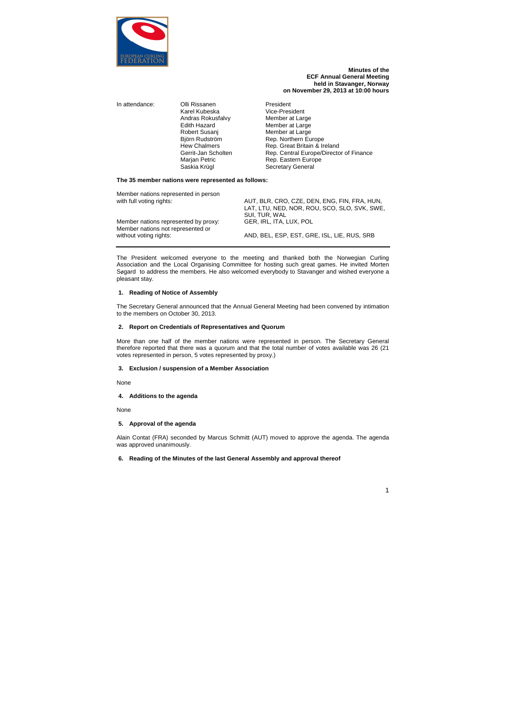

**Minutes of the ECF Annual General Meeting held in Stavanger, Norway on November 29, 2013 at 10:00 hours**

In attendance: Olli Rissanen President Karel Kubeska Vice-President Andras Rokusfalvy Member at Large Edith Hazard Member at Large Robert Susanj Member at Large<br>Björn Rudström Rep. Northern Eu

Rep. Northern Europe Hew Chalmers Rep. Great Britain & Ireland Gerrit-Jan Scholten Rep. Central Europe/Director of Finance Marjan Petric **Rep. Eastern Europe** Saskia Krügl Secretary General

#### **The 35 member nations were represented as follows:**

| AUT, BLR, CRO, CZE, DEN, ENG, FIN, FRA, HUN, |
|----------------------------------------------|
| LAT, LTU, NED, NOR, ROU, SCO, SLO, SVK, SWE, |
| SUI. TUR. WAL                                |
| GER, IRL, ITA, LUX, POL                      |
|                                              |
| AND, BEL, ESP, EST, GRE, ISL, LIE, RUS, SRB  |
|                                              |

The President welcomed everyone to the meeting and thanked both the Norwegian Curling Association and the Local Organising Committee for hosting such great games. He invited Morten Søgard to address the members. He also welcomed everybody to Stavanger and wished everyone a pleasant stay.

### **1. Reading of Notice of Assembly**

The Secretary General announced that the Annual General Meeting had been convened by intimation to the members on October 30, 2013.

### **2. Report on Credentials of Representatives and Quorum**

More than one half of the member nations were represented in person. The Secretary General therefore reported that there was a quorum and that the total number of votes available was 26 (21 votes represented in person, 5 votes represented by proxy.)

### **3. Exclusion / suspension of a Member Association**

None

#### **4. Additions to the agenda**

None

### **5. Approval of the agenda**

Alain Contat (FRA) seconded by Marcus Schmitt (AUT) moved to approve the agenda. The agenda was approved unanimously.

### **6. Reading of the Minutes of the last General Assembly and approval thereof**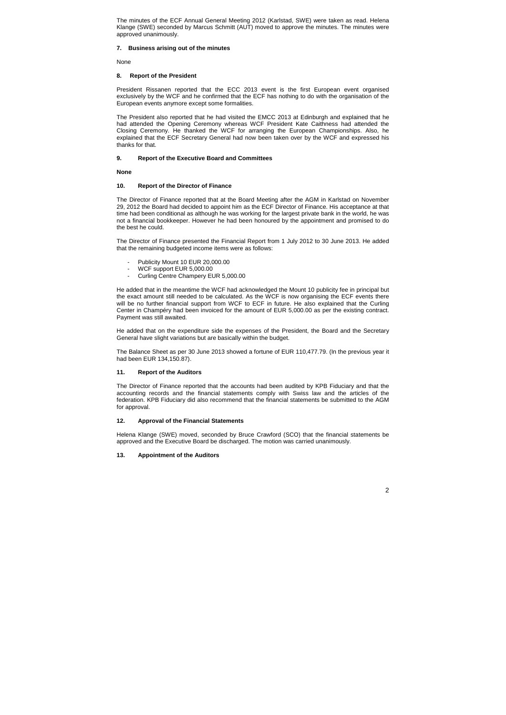The minutes of the ECF Annual General Meeting 2012 (Karlstad, SWE) were taken as read. Helena Klange (SWE) seconded by Marcus Schmitt (AUT) moved to approve the minutes. The minutes were approved unanimously.

#### **7. Business arising out of the minutes**

None

### **8. Report of the President**

President Rissanen reported that the ECC 2013 event is the first European event organised exclusively by the WCF and he confirmed that the ECF has nothing to do with the organisation of the European events anymore except some formalities.

The President also reported that he had visited the EMCC 2013 at Edinburgh and explained that he had attended the Opening Ceremony whereas WCF President Kate Caithness had attended the Closing Ceremony. He thanked the WCF for arranging the European Championships. Also, he explained that the ECF Secretary General had now been taken over by the WCF and expressed his thanks for that.

### **9. Report of the Executive Board and Committees**

**None** 

#### **10. Report of the Director of Finance**

The Director of Finance reported that at the Board Meeting after the AGM in Karlstad on November 29, 2012 the Board had decided to appoint him as the ECF Director of Finance. His acceptance at that time had been conditional as although he was working for the largest private bank in the world, he was not a financial bookkeeper. However he had been honoured by the appointment and promised to do the best he could.

The Director of Finance presented the Financial Report from 1 July 2012 to 30 June 2013. He added that the remaining budgeted income items were as follows:

- Publicity Mount 10 EUR 20,000.00
- WCF support EUR 5,000.00
- Curling Centre Champery EUR 5,000.00

He added that in the meantime the WCF had acknowledged the Mount 10 publicity fee in principal but the exact amount still needed to be calculated. As the WCF is now organising the ECF events there will be no further financial support from WCF to ECF in future. He also explained that the Curling Center in Champéry had been invoiced for the amount of EUR 5,000.00 as per the existing contract. Payment was still awaited.

He added that on the expenditure side the expenses of the President, the Board and the Secretary General have slight variations but are basically within the budget.

The Balance Sheet as per 30 June 2013 showed a fortune of EUR 110,477.79. (In the previous year it had been EUR 134,150.87).

### **11. Report of the Auditors**

The Director of Finance reported that the accounts had been audited by KPB Fiduciary and that the accounting records and the financial statements comply with Swiss law and the articles of the federation. KPB Fiduciary did also recommend that the financial statements be submitted to the AGM for approval.

### **12. Approval of the Financial Statements**

Helena Klange (SWE) moved, seconded by Bruce Crawford (SCO) that the financial statements be approved and the Executive Board be discharged. The motion was carried unanimously.

#### **13. Appointment of the Auditors**